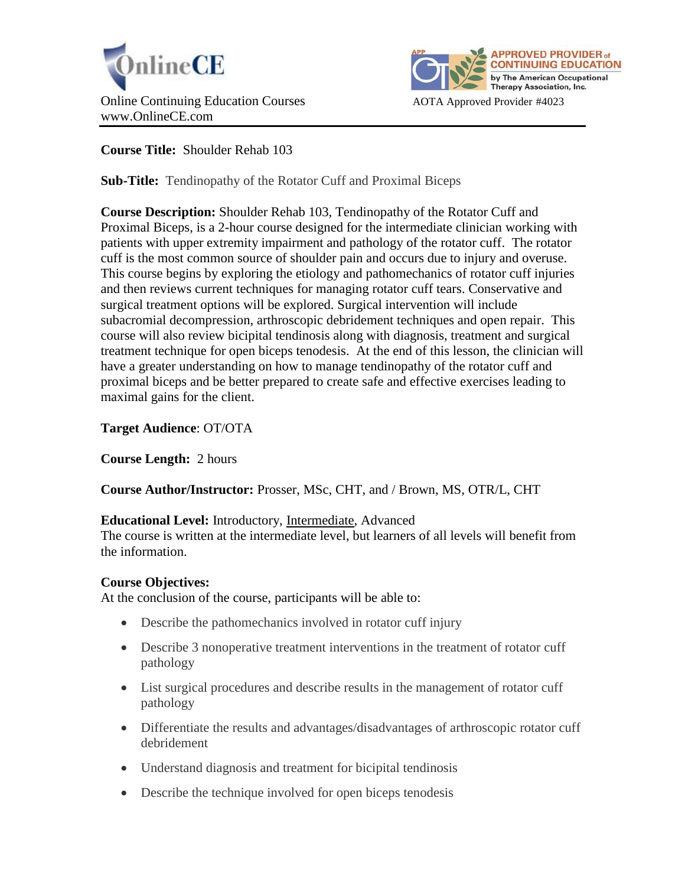



# **Course Title:** Shoulder Rehab 103

**Sub-Title:** Tendinopathy of the Rotator Cuff and Proximal Biceps

**Course Description:** Shoulder Rehab 103, Tendinopathy of the Rotator Cuff and Proximal Biceps, is a 2-hour course designed for the intermediate clinician working with patients with upper extremity impairment and pathology of the rotator cuff. The rotator cuff is the most common source of shoulder pain and occurs due to injury and overuse. This course begins by exploring the etiology and pathomechanics of rotator cuff injuries and then reviews current techniques for managing rotator cuff tears. Conservative and surgical treatment options will be explored. Surgical intervention will include subacromial decompression, arthroscopic debridement techniques and open repair. This course will also review bicipital tendinosis along with diagnosis, treatment and surgical treatment technique for open biceps tenodesis. At the end of this lesson, the clinician will have a greater understanding on how to manage tendinopathy of the rotator cuff and proximal biceps and be better prepared to create safe and effective exercises leading to maximal gains for the client.

## **Target Audience**: OT/OTA

**Course Length:** 2 hours

**Course Author/Instructor:** Prosser, MSc, CHT, and / Brown, MS, OTR/L, CHT

### **Educational Level:** Introductory, Intermediate, Advanced

The course is written at the intermediate level, but learners of all levels will benefit from the information.

### **Course Objectives:**

At the conclusion of the course, participants will be able to:

- Describe the pathomechanics involved in rotator cuff injury
- Describe 3 nonoperative treatment interventions in the treatment of rotator cuff pathology
- List surgical procedures and describe results in the management of rotator cuff pathology
- Differentiate the results and advantages/disadvantages of arthroscopic rotator cuff debridement
- Understand diagnosis and treatment for bicipital tendinosis
- Describe the technique involved for open biceps tenodesis